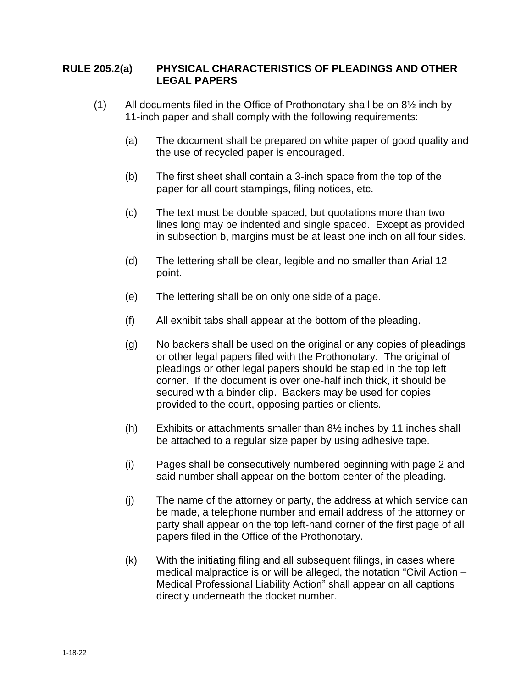## **RULE 205.2(a) PHYSICAL CHARACTERISTICS OF PLEADINGS AND OTHER LEGAL PAPERS**

- (1) All documents filed in the Office of Prothonotary shall be on 8½ inch by 11-inch paper and shall comply with the following requirements:
	- (a) The document shall be prepared on white paper of good quality and the use of recycled paper is encouraged.
	- (b) The first sheet shall contain a 3-inch space from the top of the paper for all court stampings, filing notices, etc.
	- (c) The text must be double spaced, but quotations more than two lines long may be indented and single spaced. Except as provided in subsection b, margins must be at least one inch on all four sides.
	- (d) The lettering shall be clear, legible and no smaller than Arial 12 point.
	- (e) The lettering shall be on only one side of a page.
	- (f) All exhibit tabs shall appear at the bottom of the pleading.
	- (g) No backers shall be used on the original or any copies of pleadings or other legal papers filed with the Prothonotary. The original of pleadings or other legal papers should be stapled in the top left corner. If the document is over one-half inch thick, it should be secured with a binder clip. Backers may be used for copies provided to the court, opposing parties or clients.
	- (h) Exhibits or attachments smaller than  $8\frac{1}{2}$  inches by 11 inches shall be attached to a regular size paper by using adhesive tape.
	- (i) Pages shall be consecutively numbered beginning with page 2 and said number shall appear on the bottom center of the pleading.
	- (j) The name of the attorney or party, the address at which service can be made, a telephone number and email address of the attorney or party shall appear on the top left-hand corner of the first page of all papers filed in the Office of the Prothonotary.
	- (k) With the initiating filing and all subsequent filings, in cases where medical malpractice is or will be alleged, the notation "Civil Action – Medical Professional Liability Action" shall appear on all captions directly underneath the docket number.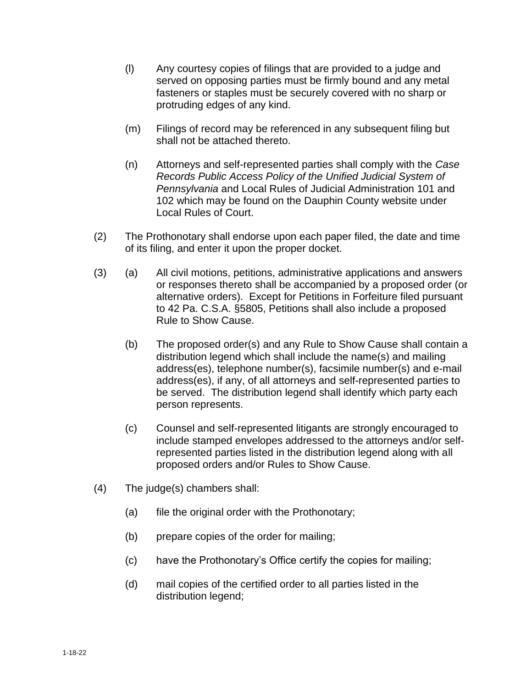- (l) Any courtesy copies of filings that are provided to a judge and served on opposing parties must be firmly bound and any metal fasteners or staples must be securely covered with no sharp or protruding edges of any kind.
- (m) Filings of record may be referenced in any subsequent filing but shall not be attached thereto.
- (n) Attorneys and self-represented parties shall comply with the *Case Records Public Access Policy of the Unified Judicial System of Pennsylvania* and Local Rules of Judicial Administration 101 and 102 which may be found on the Dauphin County website under Local Rules of Court.
- (2) The Prothonotary shall endorse upon each paper filed, the date and time of its filing, and enter it upon the proper docket.
- (3) (a) All civil motions, petitions, administrative applications and answers or responses thereto shall be accompanied by a proposed order (or alternative orders). Except for Petitions in Forfeiture filed pursuant to 42 Pa. C.S.A. §5805, Petitions shall also include a proposed Rule to Show Cause.
	- (b) The proposed order(s) and any Rule to Show Cause shall contain a distribution legend which shall include the name(s) and mailing address(es), telephone number(s), facsimile number(s) and e-mail address(es), if any, of all attorneys and self-represented parties to be served. The distribution legend shall identify which party each person represents.
	- (c) Counsel and self-represented litigants are strongly encouraged to include stamped envelopes addressed to the attorneys and/or selfrepresented parties listed in the distribution legend along with all proposed orders and/or Rules to Show Cause.
- (4) The judge(s) chambers shall:
	- (a) file the original order with the Prothonotary;
	- (b) prepare copies of the order for mailing;
	- (c) have the Prothonotary's Office certify the copies for mailing;
	- (d) mail copies of the certified order to all parties listed in the distribution legend;